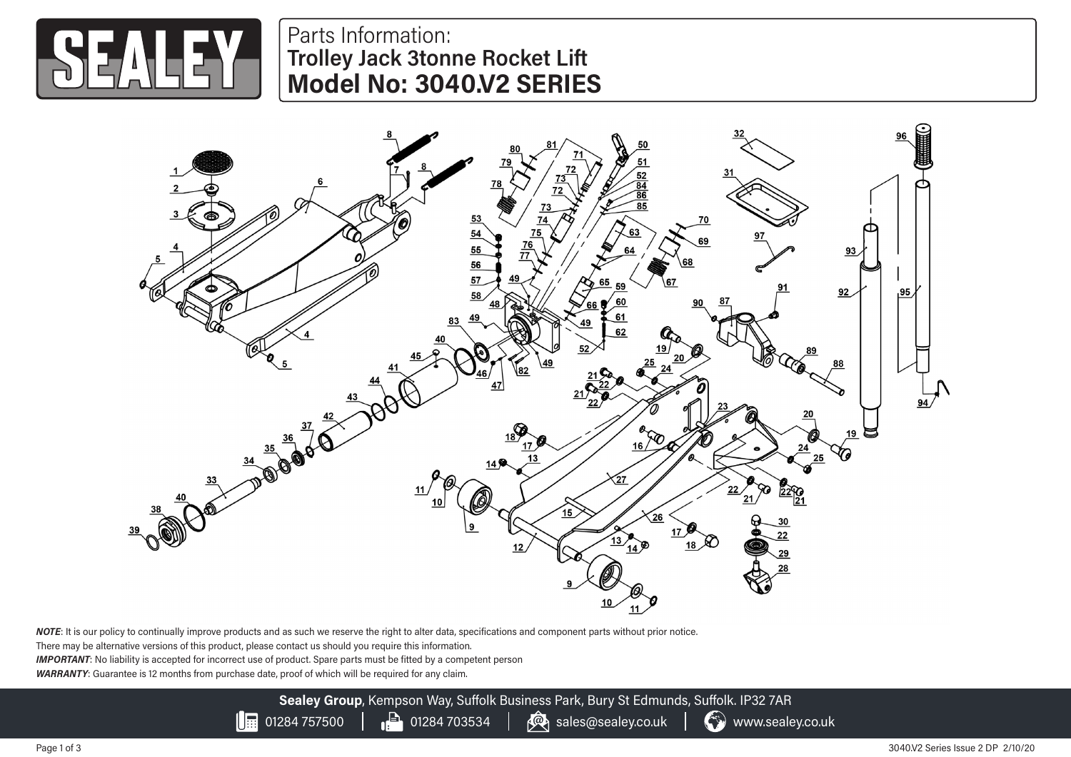

## Parts Information: **Trolley Jack 3tonne Rocket Lift Model No: 3040.V2 SERIES**



*NOTE*: It is our policy to continually improve products and as such we reserve the right to alter data, specifications and component parts without prior notice.

There may be alternative versions of this product, please contact us should you require this information.

*IMPORTANT*: No liability is accepted for incorrect use of product. Spare parts must be fitted by a competent person

*WARRANTY*: Guarantee is 12 months from purchase date, proof of which will be required for any claim.

**Sealey Group**, Kempson Way, Suffolk Business Park, Bury St Edmunds, Suffolk. IP32 7AR  $\left|\frac{1}{100}\right|$  01284 757500  $\left|\frac{1}{100}\right|$  01284 703534  $\left|\frac{1}{100}\right|$  sales@sealey.co.uk  $\left|\frac{1}{100}\right|$  www.sealey.co.uk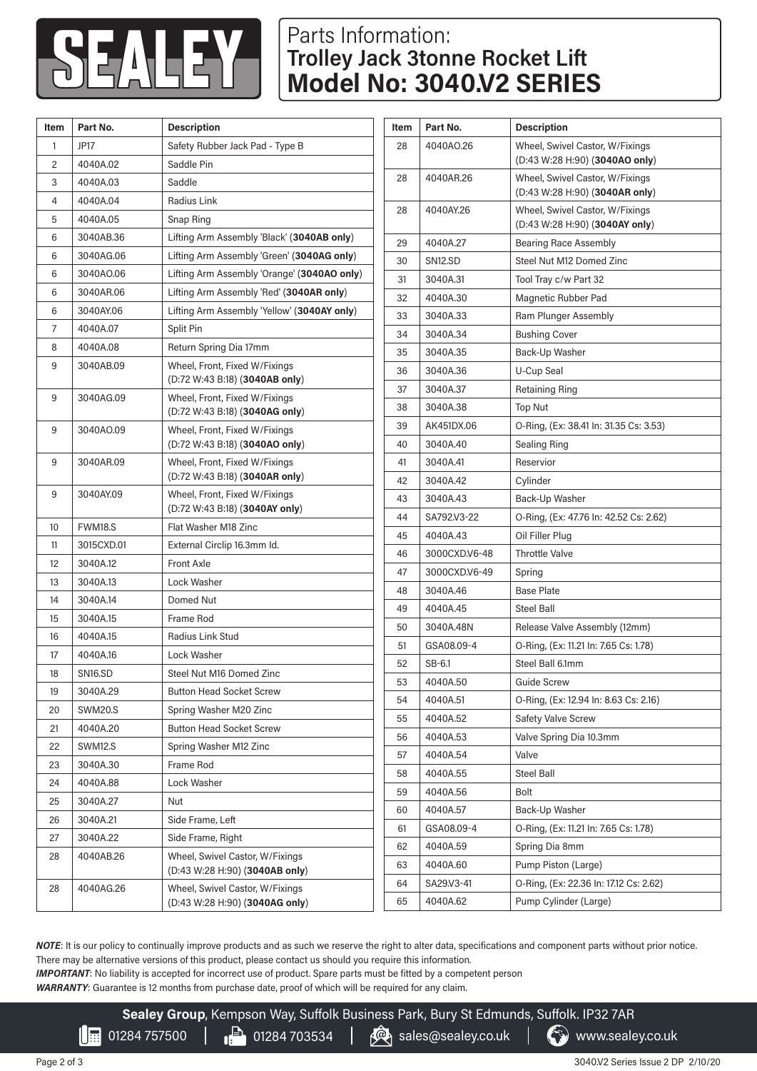

## Parts Information: **Trolley Jack 3tonne Rocket Lift Model No: 3040.V2 SERIES**

| Item           | Part No.            | <b>Description</b>                                                |
|----------------|---------------------|-------------------------------------------------------------------|
| 1              | JP17                | Safety Rubber Jack Pad - Type B                                   |
| $\overline{c}$ | 4040A.02            | Saddle Pin                                                        |
| 3              | 4040A.03            | Saddle                                                            |
| 4              | 4040A.04            | Radius Link                                                       |
| 5              | 4040A.05            | Snap Ring                                                         |
| 6              | 3040AB.36           | Lifting Arm Assembly 'Black' (3040AB only)                        |
| 6              | 3040AG.06           | Lifting Arm Assembly 'Green' (3040AG only)                        |
| 6              | 3040AO.06           | Lifting Arm Assembly 'Orange' (3040AO only)                       |
| 6              | 3040AR.06           | Lifting Arm Assembly 'Red' (3040AR only)                          |
| 6              | 3040AY.06           | Lifting Arm Assembly 'Yellow' (3040AY only)                       |
| 7              | 4040A.07            | Split Pin                                                         |
| 8              | 4040A.08            | Return Spring Dia 17mm                                            |
| 9              | 3040AB.09           | Wheel, Front, Fixed W/Fixings                                     |
|                |                     | (D:72 W:43 B:18) (3040AB only)                                    |
| 9              | 3040AG.09           | Wheel, Front, Fixed W/Fixings                                     |
|                |                     | (D:72 W:43 B:18) (3040AG only)                                    |
| 9              | 3040AO.09           | Wheel, Front, Fixed W/Fixings<br>(D:72 W:43 B:18) (3040AO only)   |
| 9              | 3040AR.09           | Wheel, Front, Fixed W/Fixings                                     |
|                |                     | (D:72 W:43 B:18) (3040AR only)                                    |
| 9              | 3040AY.09           | Wheel, Front, Fixed W/Fixings                                     |
|                |                     | $(D:72 W:43 B:18)$ (3040AY only)                                  |
| 10             | FWM18.S             | Flat Washer M18 Zinc                                              |
| 11             | 3015CXD.01          | External Circlip 16.3mm Id.                                       |
| 12             | 3040A.12            | <b>Front Axle</b>                                                 |
| 13             | 3040A.13            | Lock Washer                                                       |
| 14             | 3040A.14            | Domed Nut                                                         |
| 15             | 3040A.15            | Frame Rod                                                         |
| 16             | 4040A.15            | Radius Link Stud                                                  |
| 17             | 4040A.16            | Lock Washer                                                       |
| 18             | SN <sub>16.SD</sub> | Steel Nut M16 Domed Zinc                                          |
| 19             | 3040A.29            | <b>Button Head Socket Screw</b>                                   |
| 20             | SWM20.S             | Spring Washer M20 Zinc                                            |
| 21             | 4040A.20            | <b>Button Head Socket Screw</b>                                   |
| 22             | <b>SWM12.S</b>      | Spring Washer M12 Zinc                                            |
| 23             | 3040A.30            | Frame Rod                                                         |
| 24             | 4040A.88            | Lock Washer                                                       |
| 25             | 3040A.27            | Nut                                                               |
| 26             | 3040A.21            | Side Frame, Left                                                  |
| 27             | 3040A.22            | Side Frame, Right                                                 |
| 28             | 4040AB.26           | Wheel, Swivel Castor, W/Fixings<br>(D:43 W:28 H:90) (3040AB only) |
| 28             | 4040AG.26           | Wheel, Swivel Castor, W/Fixings<br>(D:43 W:28 H:90) (3040AG only) |

| Item | Part No.             | <b>Description</b>                                                |
|------|----------------------|-------------------------------------------------------------------|
| 28   | 4040AO.26            | Wheel, Swivel Castor, W/Fixings                                   |
|      |                      | (D:43 W:28 H:90) (3040AO only)                                    |
| 28   | 4040AR.26            | Wheel, Swivel Castor, W/Fixings                                   |
|      |                      | (D:43 W:28 H:90) (3040AR only)                                    |
| 28   | 4040AY.26            | Wheel, Swivel Castor, W/Fixings<br>(D:43 W:28 H:90) (3040AY only) |
| 29   | 4040A.27             | <b>Bearing Race Assembly</b>                                      |
| 30   | SN <sub>12</sub> .SD | Steel Nut M12 Domed Zinc                                          |
| 31   | 3040A.31             | Tool Tray c/w Part 32                                             |
| 32   | 4040A.30             | Magnetic Rubber Pad                                               |
| 33   | 3040A.33             | Ram Plunger Assembly                                              |
| 34   | 3040A.34             | <b>Bushing Cover</b>                                              |
| 35   | 3040A.35             | Back-Up Washer                                                    |
| 36   | 3040A.36             | U-Cup Seal                                                        |
| 37   | 3040A.37             | Retaining Ring                                                    |
| 38   | 3040A.38             | <b>Top Nut</b>                                                    |
| 39   | AK451DX.06           | O-Ring, (Ex: 38.41 In: 31.35 Cs: 3.53)                            |
| 40   | 3040A.40             | Sealing Ring                                                      |
| 41   | 3040A.41             | Reservior                                                         |
| 42   | 3040A.42             | Cylinder                                                          |
| 43   | 3040A.43             | Back-Up Washer                                                    |
| 44   | SA792V3-22           | O-Ring, (Ex: 47.76 In: 42.52 Cs: 2.62)                            |
| 45   | 4040A.43             | Oil Filler Plug                                                   |
| 46   | 3000CXDV6-48         | <b>Throttle Valve</b>                                             |
| 47   | 3000CXD.V6-49        | Spring                                                            |
| 48   | 3040A.46             | <b>Base Plate</b>                                                 |
| 49   | 4040A.45             | <b>Steel Ball</b>                                                 |
| 50   | 3040A.48N            | Release Valve Assembly (12mm)                                     |
| 51   | GSA08.09-4           | O-Ring, (Ex: 11.21 In: 7.65 Cs: 1.78)                             |
| 52   | SB-6.1               | Steel Ball 6.1mm                                                  |
| 53   | 4040A.50             | <b>Guide Screw</b>                                                |
| 54   | 4040A.51             | O-Ring, (Ex: 12.94 In: 8.63 Cs: 2.16)                             |
| 55   | 4040A.52             | Safety Valve Screw                                                |
| 56   | 4040A.53             | Valve Spring Dia 10.3mm                                           |
| 57   | 4040A.54             | Valve                                                             |
| 58   | 4040A.55             | <b>Steel Ball</b>                                                 |
| 59   | 4040A.56             | Bolt                                                              |
| 60   | 4040A.57             | Back-Up Washer                                                    |
| 61   | GSA08.09-4           | O-Ring, (Ex: 11.21 In: 7.65 Cs: 1.78)                             |
| 62   | 4040A.59             | Spring Dia 8mm                                                    |
| 63   | 4040A.60             | Pump Piston (Large)                                               |
| 64   | SA29.V3-41           | O-Ring, (Ex: 22.36 In: 17.12 Cs: 2.62)                            |
| 65   | 4040A.62             | Pump Cylinder (Large)                                             |

*NOTE*: It is our policy to continually improve products and as such we reserve the right to alter data, specifications and component parts without prior notice. There may be alternative versions of this product, please contact us should you require this information.

*IMPORTANT*: No liability is accepted for incorrect use of product. Spare parts must be fitted by a competent person

*WARRANTY*: Guarantee is 12 months from purchase date, proof of which will be required for any claim.

 $\mathsf{\Pi}$ 

**Sealey Group**, Kempson Way, Suffolk Business Park, Bury St Edmunds, Suffolk. IP32 7AR

01284 757500  $\Box$  01284 703534  $\Box$   $\circledR$  sales@sealey.co.uk  $\Box$  www.sealey.co.uk